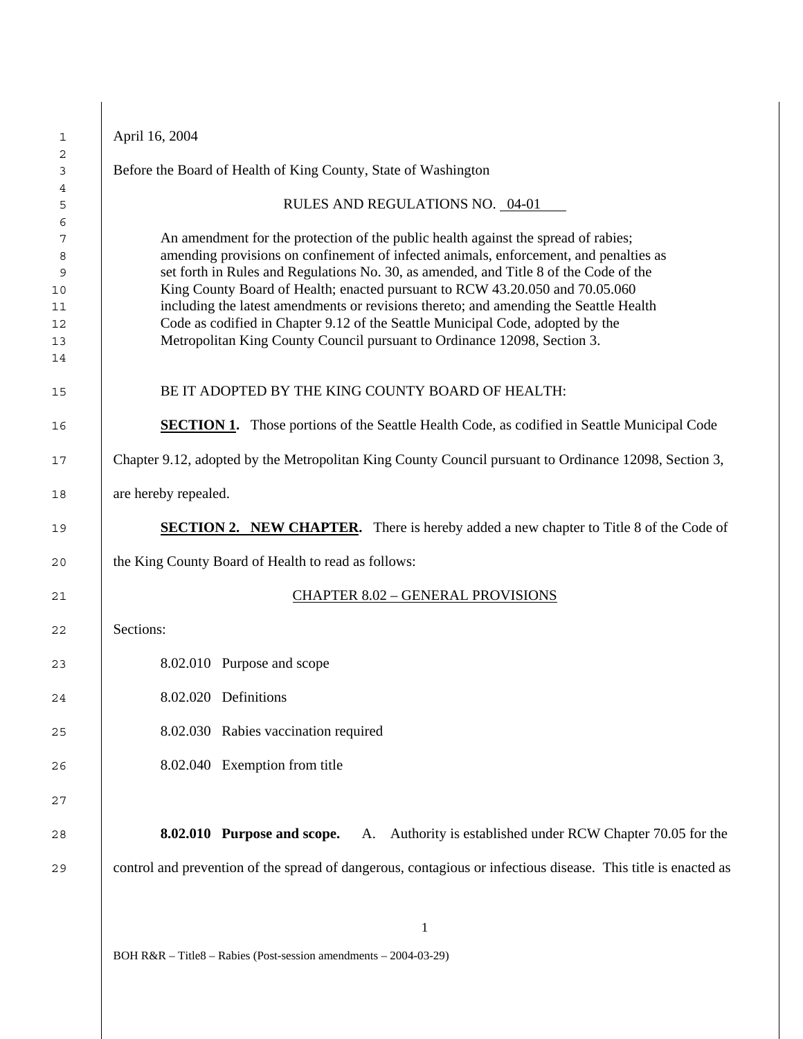| April 16, 2004       |                                                                                                                                                                                                                                                                                                                                                                                                                                                                                                                                                                                                             |
|----------------------|-------------------------------------------------------------------------------------------------------------------------------------------------------------------------------------------------------------------------------------------------------------------------------------------------------------------------------------------------------------------------------------------------------------------------------------------------------------------------------------------------------------------------------------------------------------------------------------------------------------|
|                      | Before the Board of Health of King County, State of Washington                                                                                                                                                                                                                                                                                                                                                                                                                                                                                                                                              |
|                      | RULES AND REGULATIONS NO. 04-01                                                                                                                                                                                                                                                                                                                                                                                                                                                                                                                                                                             |
|                      | An amendment for the protection of the public health against the spread of rabies;<br>amending provisions on confinement of infected animals, enforcement, and penalties as<br>set forth in Rules and Regulations No. 30, as amended, and Title 8 of the Code of the<br>King County Board of Health; enacted pursuant to RCW 43.20.050 and 70.05.060<br>including the latest amendments or revisions thereto; and amending the Seattle Health<br>Code as codified in Chapter 9.12 of the Seattle Municipal Code, adopted by the<br>Metropolitan King County Council pursuant to Ordinance 12098, Section 3. |
|                      | BE IT ADOPTED BY THE KING COUNTY BOARD OF HEALTH:                                                                                                                                                                                                                                                                                                                                                                                                                                                                                                                                                           |
|                      | <b>SECTION 1.</b> Those portions of the Seattle Health Code, as codified in Seattle Municipal Code                                                                                                                                                                                                                                                                                                                                                                                                                                                                                                          |
|                      | Chapter 9.12, adopted by the Metropolitan King County Council pursuant to Ordinance 12098, Section 3,                                                                                                                                                                                                                                                                                                                                                                                                                                                                                                       |
| are hereby repealed. |                                                                                                                                                                                                                                                                                                                                                                                                                                                                                                                                                                                                             |
|                      | <b>SECTION 2. NEW CHAPTER.</b> There is hereby added a new chapter to Title 8 of the Code of                                                                                                                                                                                                                                                                                                                                                                                                                                                                                                                |
|                      | the King County Board of Health to read as follows:                                                                                                                                                                                                                                                                                                                                                                                                                                                                                                                                                         |
|                      | <b>CHAPTER 8.02 - GENERAL PROVISIONS</b>                                                                                                                                                                                                                                                                                                                                                                                                                                                                                                                                                                    |
| Sections:            |                                                                                                                                                                                                                                                                                                                                                                                                                                                                                                                                                                                                             |
|                      | 8.02.010 Purpose and scope                                                                                                                                                                                                                                                                                                                                                                                                                                                                                                                                                                                  |
|                      | 8.02.020 Definitions                                                                                                                                                                                                                                                                                                                                                                                                                                                                                                                                                                                        |
|                      | 8.02.030 Rabies vaccination required                                                                                                                                                                                                                                                                                                                                                                                                                                                                                                                                                                        |
|                      | 8.02.040 Exemption from title                                                                                                                                                                                                                                                                                                                                                                                                                                                                                                                                                                               |
|                      | A. Authority is established under RCW Chapter 70.05 for the<br>8.02.010 Purpose and scope.                                                                                                                                                                                                                                                                                                                                                                                                                                                                                                                  |
|                      | control and prevention of the spread of dangerous, contagious or infectious disease. This title is enacted as                                                                                                                                                                                                                                                                                                                                                                                                                                                                                               |
|                      |                                                                                                                                                                                                                                                                                                                                                                                                                                                                                                                                                                                                             |
|                      |                                                                                                                                                                                                                                                                                                                                                                                                                                                                                                                                                                                                             |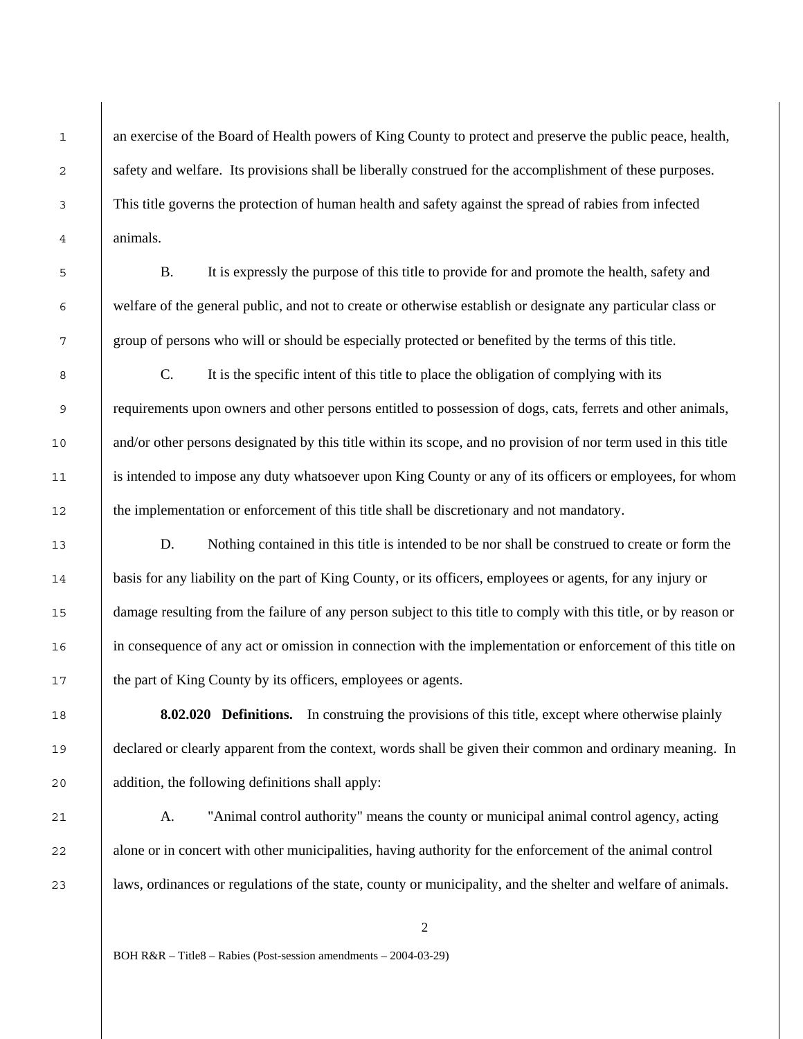an exercise of the Board of Health powers of King County to protect and preserve the public peace, health, safety and welfare. Its provisions shall be liberally construed for the accomplishment of these purposes. This title governs the protection of human health and safety against the spread of rabies from infected animals.

1

B. It is expressly the purpose of this title to provide for and promote the health, safety and welfare of the general public, and not to create or otherwise establish or designate any particular class or group of persons who will or should be especially protected or benefited by the terms of this title.

C. It is the specific intent of this title to place the obligation of complying with its requirements upon owners and other persons entitled to possession of dogs, cats, ferrets and other animals, and/or other persons designated by this title within its scope, and no provision of nor term used in this title is intended to impose any duty whatsoever upon King County or any of its officers or employees, for whom the implementation or enforcement of this title shall be discretionary and not mandatory.

D. Nothing contained in this title is intended to be nor shall be construed to create or form the basis for any liability on the part of King County, or its officers, employees or agents, for any injury or damage resulting from the failure of any person subject to this title to comply with this title, or by reason or in consequence of any act or omission in connection with the implementation or enforcement of this title on the part of King County by its officers, employees or agents.

**8.02.020 Definitions.** In construing the provisions of this title, except where otherwise plainly declared or clearly apparent from the context, words shall be given their common and ordinary meaning. In addition, the following definitions shall apply:

A. "Animal control authority" means the county or municipal animal control agency, acting alone or in concert with other municipalities, having authority for the enforcement of the animal control laws, ordinances or regulations of the state, county or municipality, and the shelter and welfare of animals.

 $\overline{2}$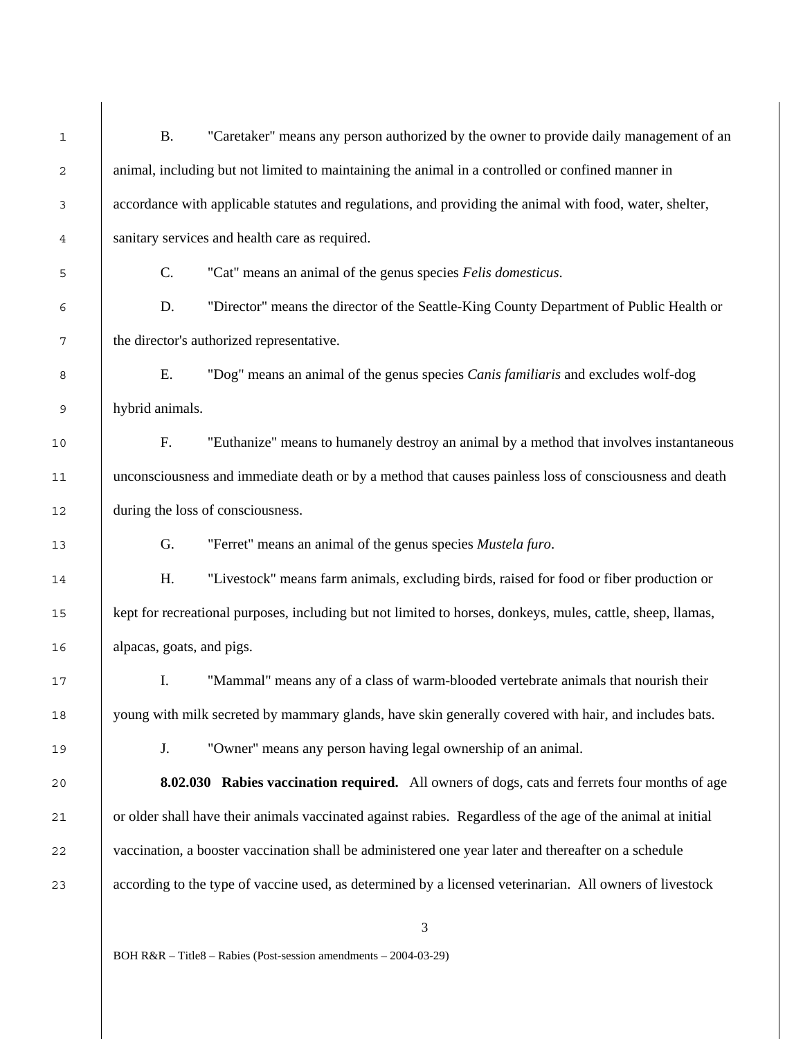| <b>B.</b><br>"Caretaker" means any person authorized by the owner to provide daily management of an<br>animal, including but not limited to maintaining the animal in a controlled or confined manner in<br>accordance with applicable statutes and regulations, and providing the animal with food, water, shelter, |
|----------------------------------------------------------------------------------------------------------------------------------------------------------------------------------------------------------------------------------------------------------------------------------------------------------------------|
|                                                                                                                                                                                                                                                                                                                      |
|                                                                                                                                                                                                                                                                                                                      |
|                                                                                                                                                                                                                                                                                                                      |
| sanitary services and health care as required.                                                                                                                                                                                                                                                                       |
| "Cat" means an animal of the genus species Felis domesticus.<br>C.                                                                                                                                                                                                                                                   |
| "Director" means the director of the Seattle-King County Department of Public Health or<br>D.                                                                                                                                                                                                                        |
| the director's authorized representative.                                                                                                                                                                                                                                                                            |
| E.<br>"Dog" means an animal of the genus species Canis familiaris and excludes wolf-dog                                                                                                                                                                                                                              |
| hybrid animals.                                                                                                                                                                                                                                                                                                      |
| F.<br>"Euthanize" means to humanely destroy an animal by a method that involves instantaneous                                                                                                                                                                                                                        |
| unconsciousness and immediate death or by a method that causes painless loss of consciousness and death                                                                                                                                                                                                              |
| during the loss of consciousness.                                                                                                                                                                                                                                                                                    |
| G.<br>"Ferret" means an animal of the genus species Mustela furo.                                                                                                                                                                                                                                                    |
| Η.<br>"Livestock" means farm animals, excluding birds, raised for food or fiber production or                                                                                                                                                                                                                        |
| kept for recreational purposes, including but not limited to horses, donkeys, mules, cattle, sheep, llamas,                                                                                                                                                                                                          |
| alpacas, goats, and pigs.                                                                                                                                                                                                                                                                                            |
| I.<br>"Mammal" means any of a class of warm-blooded vertebrate animals that nourish their                                                                                                                                                                                                                            |
| young with milk secreted by mammary glands, have skin generally covered with hair, and includes bats.                                                                                                                                                                                                                |
| "Owner" means any person having legal ownership of an animal.<br>J.                                                                                                                                                                                                                                                  |
| <b>8.02.030</b> Rabies vaccination required. All owners of dogs, cats and ferrets four months of age                                                                                                                                                                                                                 |
| or older shall have their animals vaccinated against rabies. Regardless of the age of the animal at initial                                                                                                                                                                                                          |
| vaccination, a booster vaccination shall be administered one year later and thereafter on a schedule                                                                                                                                                                                                                 |
| according to the type of vaccine used, as determined by a licensed veterinarian. All owners of livestock                                                                                                                                                                                                             |
| 3                                                                                                                                                                                                                                                                                                                    |
|                                                                                                                                                                                                                                                                                                                      |
|                                                                                                                                                                                                                                                                                                                      |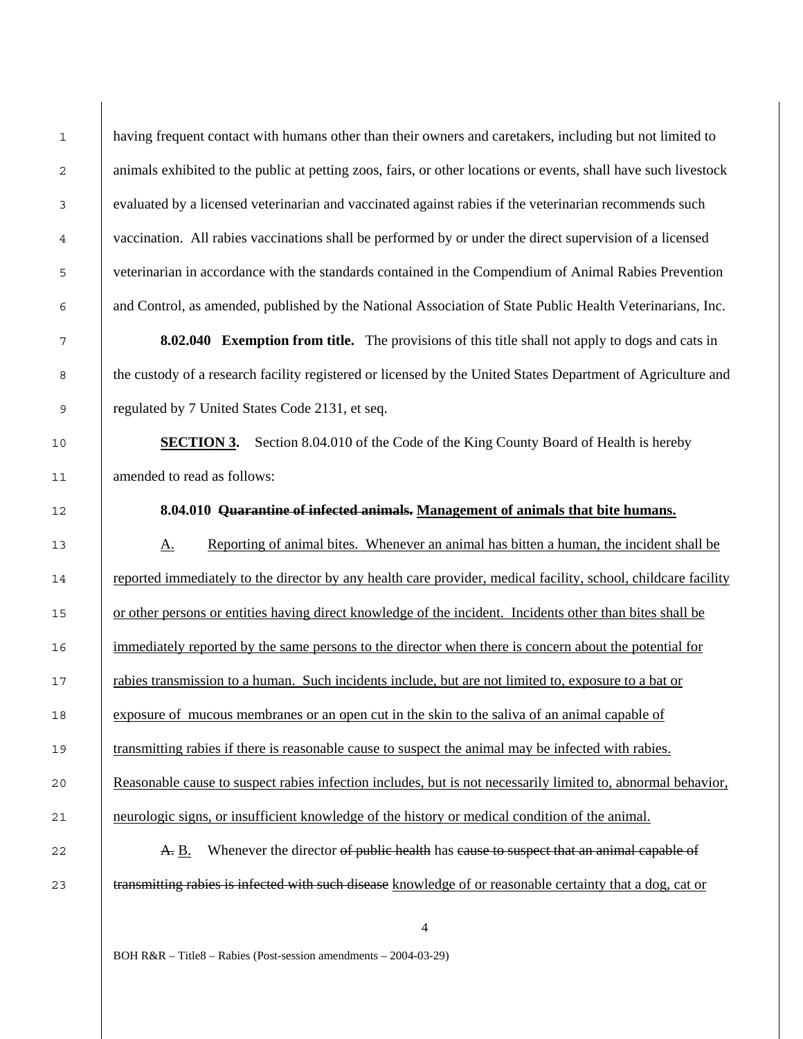having frequent contact with humans other than their owners and caretakers, including but not limited to animals exhibited to the public at petting zoos, fairs, or other locations or events, shall have such livestock evaluated by a licensed veterinarian and vaccinated against rabies if the veterinarian recommends such vaccination. All rabies vaccinations shall be performed by or under the direct supervision of a licensed veterinarian in accordance with the standards contained in the Compendium of Animal Rabies Prevention and Control, as amended, published by the National Association of State Public Health Veterinarians, Inc.

**8.02.040 Exemption from title.** The provisions of this title shall not apply to dogs and cats in the custody of a research facility registered or licensed by the United States Department of Agriculture and regulated by 7 United States Code 2131, et seq.

**SECTION 3.** Section 8.04.010 of the Code of the King County Board of Health is hereby amended to read as follows:

**8.04.010 Quarantine of infected animals. Management of animals that bite humans.**

A. Reporting of animal bites. Whenever an animal has bitten a human, the incident shall be reported immediately to the director by any health care provider, medical facility, school, childcare facility or other persons or entities having direct knowledge of the incident. Incidents other than bites shall be 16 immediately reported by the same persons to the director when there is concern about the potential for rabies transmission to a human. Such incidents include, but are not limited to, exposure to a bat or exposure of mucous membranes or an open cut in the skin to the saliva of an animal capable of transmitting rabies if there is reasonable cause to suspect the animal may be infected with rabies. Reasonable cause to suspect rabies infection includes, but is not necessarily limited to, abnormal behavior, neurologic signs, or insufficient knowledge of the history or medical condition of the animal.

**A. B.** Whenever the director of public health has cause to suspect that an animal capable of 23 transmitting rabies is infected with such disease knowledge of or reasonable certainty that a dog, cat or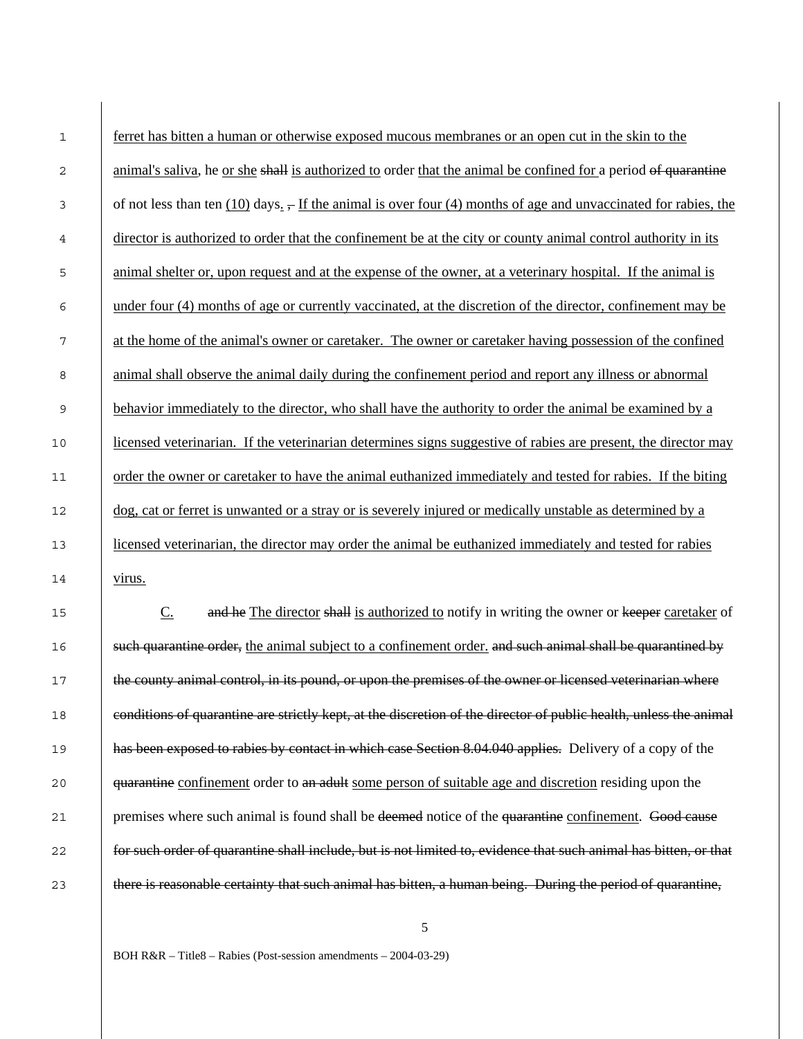| $\mathbf{1}$ | ferret has bitten a human or otherwise exposed mucous membranes or an open cut in the skin to the                             |
|--------------|-------------------------------------------------------------------------------------------------------------------------------|
| 2            | animal's saliva, he or she shall is authorized to order that the animal be confined for a period of quarantine                |
| 3            | of not less than ten $(10)$ days. $\frac{1}{2}$ If the animal is over four (4) months of age and unvaccinated for rabies, the |
| 4            | director is authorized to order that the confinement be at the city or county animal control authority in its                 |
| 5            | animal shelter or, upon request and at the expense of the owner, at a veterinary hospital. If the animal is                   |
| 6            | under four (4) months of age or currently vaccinated, at the discretion of the director, confinement may be                   |
| 7            | at the home of the animal's owner or caretaker. The owner or caretaker having possession of the confined                      |
| 8            | animal shall observe the animal daily during the confinement period and report any illness or abnormal                        |
| 9            | behavior immediately to the director, who shall have the authority to order the animal be examined by a                       |
| $10$         | licensed veterinarian. If the veterinarian determines signs suggestive of rabies are present, the director may                |
| 11           | order the owner or caretaker to have the animal euthanized immediately and tested for rabies. If the biting                   |
| 12           | dog, cat or ferret is unwanted or a stray or is severely injured or medically unstable as determined by a                     |
| 13           | licensed veterinarian, the director may order the animal be euthanized immediately and tested for rabies                      |
| 14           | virus.                                                                                                                        |
| 15           | and he The director shall is authorized to notify in writing the owner or keeper caretaker of<br>$C_{\cdot}$                  |
| 16           | such quarantine order, the animal subject to a confinement order, and such animal shall be quarantined by                     |
| 17           | the county animal control, in its pound, or upon the premises of the owner or licensed veterinarian where                     |
| 18           | conditions of quarantine are strictly kept, at the discretion of the director of public health, unless the animal             |
| 19           | has been exposed to rabies by contact in which case Section 8.04.040 applies. Delivery of a copy of the                       |
| 20           | quarantine confinement order to an adult some person of suitable age and discretion residing upon the                         |
| 21           | premises where such animal is found shall be deemed notice of the quarantine confinement. Good cause                          |
| 22           | for such order of quarantine shall include, but is not limited to, evidence that such animal has bitten, or that              |
| 23           | there is reasonable certainty that such animal has bitten, a human being. During the period of quarantine,                    |
|              |                                                                                                                               |

 $\overline{\phantom{a}}$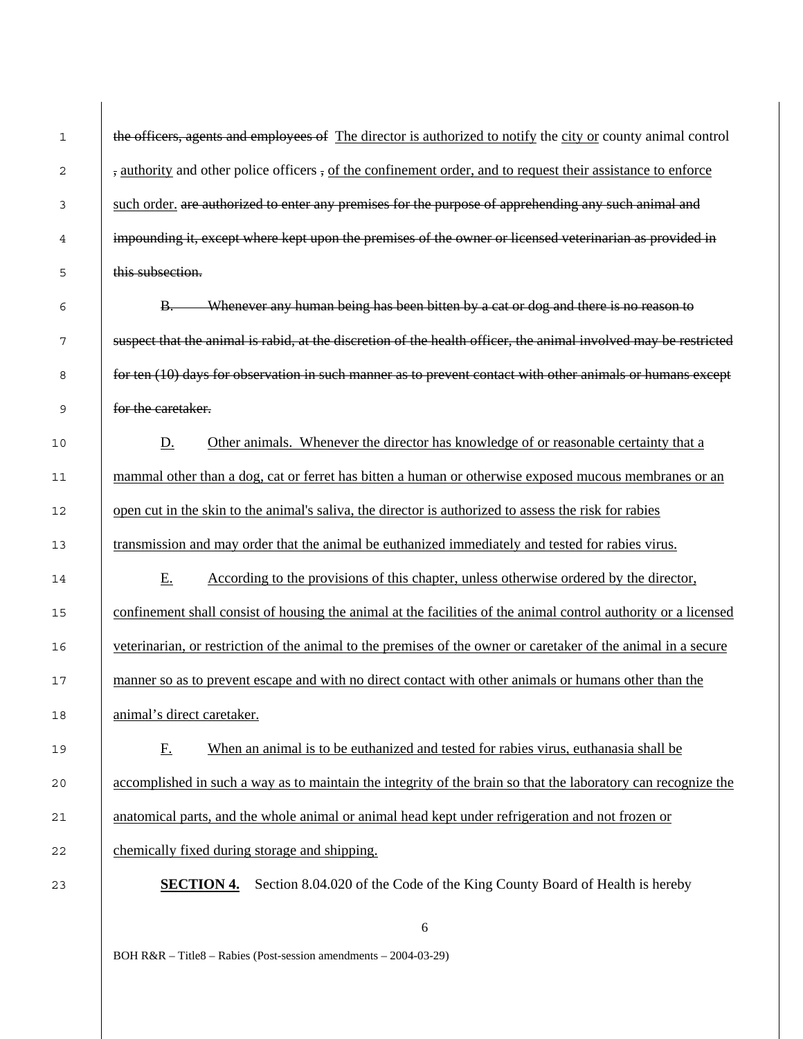| 1      | the officers, agents and employees of The director is authorized to notify the city or county animal control     |
|--------|------------------------------------------------------------------------------------------------------------------|
| 2      | , authority and other police officers, of the confinement order, and to request their assistance to enforce      |
| 3      | such order. are authorized to enter any premises for the purpose of apprehending any such animal and             |
| 4      | impounding it, except where kept upon the premises of the owner or licensed veterinarian as provided in          |
| 5      | this subsection.                                                                                                 |
| 6      | B. Whenever any human being has been bitten by a cat or dog and there is no reason to                            |
| 7      | suspect that the animal is rabid, at the discretion of the health officer, the animal involved may be restricted |
| 8      | for ten (10) days for observation in such manner as to prevent contact with other animals or humans except       |
| 9      | for the caretaker.                                                                                               |
| 10     | Other animals. Whenever the director has knowledge of or reasonable certainty that a<br><u>D.</u>                |
| 11     | mammal other than a dog, cat or ferret has bitten a human or otherwise exposed mucous membranes or an            |
| 12     | open cut in the skin to the animal's saliva, the director is authorized to assess the risk for rabies            |
| 13     | transmission and may order that the animal be euthanized immediately and tested for rabies virus.                |
| 14     | E.<br>According to the provisions of this chapter, unless otherwise ordered by the director,                     |
| 15     | confinement shall consist of housing the animal at the facilities of the animal control authority or a licensed  |
| 16     | veterinarian, or restriction of the animal to the premises of the owner or caretaker of the animal in a secure   |
| 17     | manner so as to prevent escape and with no direct contact with other animals or humans other than the            |
| $18\,$ | animal's direct caretaker.                                                                                       |
| 19     | When an animal is to be euthanized and tested for rabies virus, euthanasia shall be<br><u>F.</u>                 |
| 20     | accomplished in such a way as to maintain the integrity of the brain so that the laboratory can recognize the    |
| 21     | anatomical parts, and the whole animal or animal head kept under refrigeration and not frozen or                 |
| 22     | chemically fixed during storage and shipping.                                                                    |
| 23     | Section 8.04.020 of the Code of the King County Board of Health is hereby<br><b>SECTION 4.</b>                   |
|        |                                                                                                                  |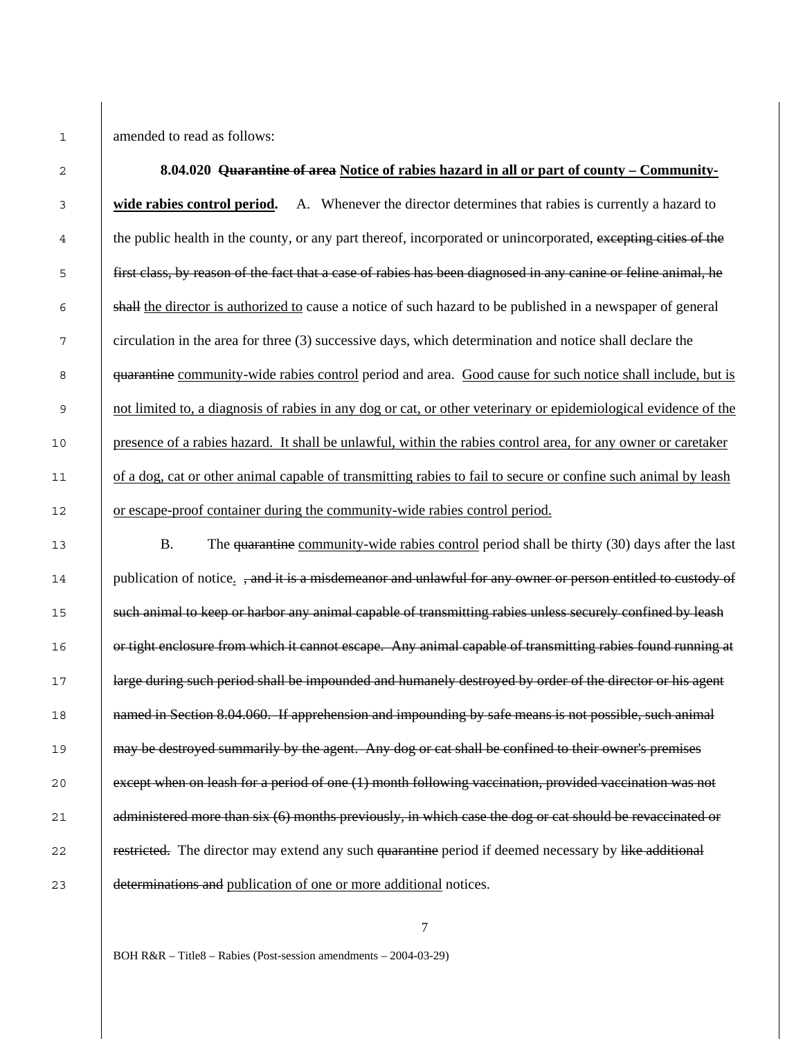1 amended to read as follows:

| $\mathbf{2}$ | 8.04.020 Quarantine of area Notice of rabies hazard in all or part of county – Community-                       |
|--------------|-----------------------------------------------------------------------------------------------------------------|
| 3            | A. Whenever the director determines that rabies is currently a hazard to<br>wide rabies control period.         |
| 4            | the public health in the county, or any part thereof, incorporated or unincorporated, excepting cities of the   |
| 5            | first class, by reason of the fact that a case of rabies has been diagnosed in any canine or feline animal, he  |
| 6            | shall the director is authorized to cause a notice of such hazard to be published in a newspaper of general     |
| 7            | circulation in the area for three (3) successive days, which determination and notice shall declare the         |
| 8            | quarantine community-wide rabies control period and area. Good cause for such notice shall include, but is      |
| 9            | not limited to, a diagnosis of rabies in any dog or cat, or other veterinary or epidemiological evidence of the |
| 10           | presence of a rabies hazard. It shall be unlawful, within the rabies control area, for any owner or caretaker   |
| 11           | of a dog, cat or other animal capable of transmitting rabies to fail to secure or confine such animal by leash  |
| 12           | or escape-proof container during the community-wide rabies control period.                                      |
| 13           | <b>B.</b><br>The quarantine community-wide rabies control period shall be thirty (30) days after the last       |
| 14           | publication of notice. , and it is a misdemeanor and unlawful for any owner or person entitled to custody of    |
| 15           | such animal to keep or harbor any animal capable of transmitting rabies unless securely confined by leash       |
| 16           | or tight enclosure from which it cannot escape. Any animal capable of transmitting rabies found running at      |
| 17           | large during such period shall be impounded and humanely destroyed by order of the director or his agent        |
| 18           | named in Section 8.04.060. If apprehension and impounding by safe means is not possible, such animal            |
| 19           | may be destroyed summarily by the agent. Any dog or cat shall be confined to their owner's premises             |
| 20           | except when on leash for a period of one (1) month following vaccination, provided vaccination was not          |
| 21           | administered more than six (6) months previously, in which case the dog or cat should be revaccinated or        |
| 22           | restricted. The director may extend any such quarantine period if deemed necessary by like additional           |
| 23           | determinations and publication of one or more additional notices.                                               |

BOH R&R – Title8 – Rabies (Post-session amendments – 2004-03-29)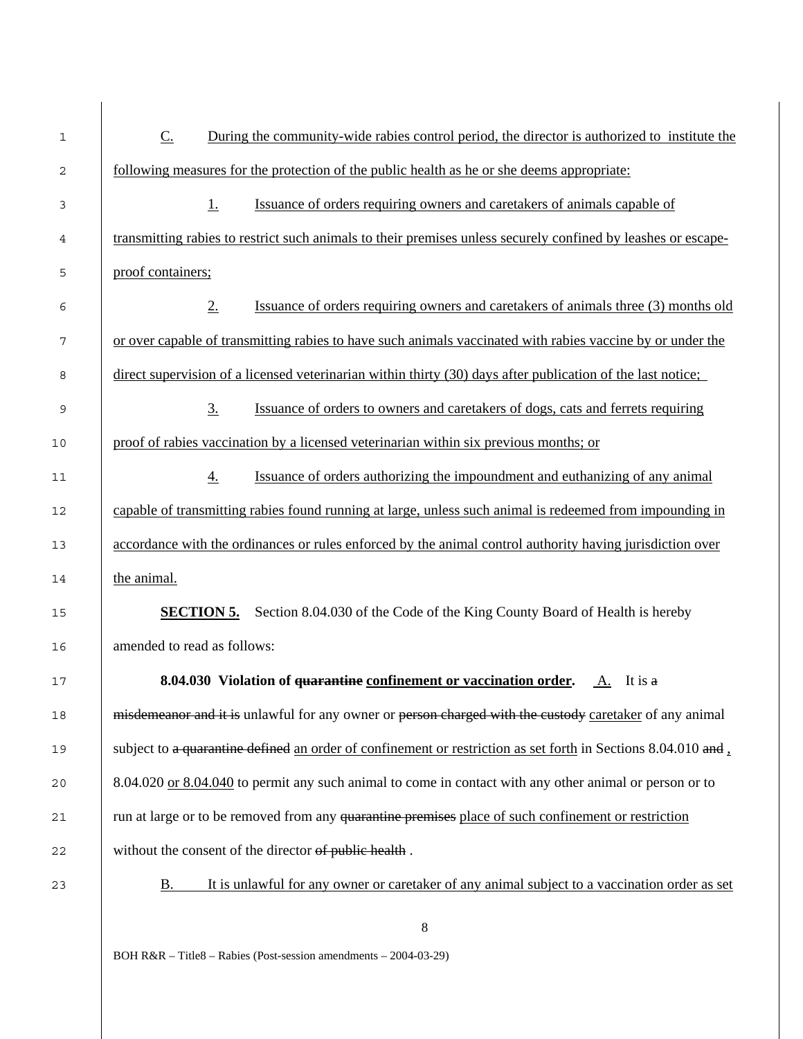| 1  | $C$ .<br>During the community-wide rabies control period, the director is authorized to institute the         |
|----|---------------------------------------------------------------------------------------------------------------|
| 2  | <u>following measures for the protection of the public health as he or she deems appropriate:</u>             |
| 3  | Issuance of orders requiring owners and caretakers of animals capable of<br>$\perp$                           |
| 4  | transmitting rabies to restrict such animals to their premises unless securely confined by leashes or escape- |
| 5  | proof containers;                                                                                             |
| 6  | 2.<br>Issuance of orders requiring owners and caretakers of animals three (3) months old                      |
| 7  | or over capable of transmitting rabies to have such animals vaccinated with rabies vaccine by or under the    |
| 8  | direct supervision of a licensed veterinarian within thirty (30) days after publication of the last notice;   |
| 9  | 3.<br>Issuance of orders to owners and caretakers of dogs, cats and ferrets requiring                         |
| 10 | proof of rabies vaccination by a licensed veterinarian within six previous months; or                         |
| 11 | Issuance of orders authorizing the impoundment and euthanizing of any animal<br>$\overline{4}$ .              |
| 12 | capable of transmitting rabies found running at large, unless such animal is redeemed from impounding in      |
| 13 | accordance with the ordinances or rules enforced by the animal control authority having jurisdiction over     |
| 14 | the animal.                                                                                                   |
| 15 | <b>SECTION 5.</b><br>Section 8.04.030 of the Code of the King County Board of Health is hereby                |
| 16 | amended to read as follows:                                                                                   |
| 17 | <b>8.04.030</b> Violation of <del>quarantine</del> confinement or vaccination order. A. It is a               |
| 18 | misdemeanor and it is unlawful for any owner or person charged with the custody caretaker of any animal       |
| 19 | subject to a quarantine defined an order of confinement or restriction as set forth in Sections 8.04.010 and, |
| 20 | 8.04.020 or 8.04.040 to permit any such animal to come in contact with any other animal or person or to       |
| 21 | run at large or to be removed from any quarantine premises place of such confinement or restriction           |
| 22 | without the consent of the director of public health.                                                         |
| 23 | It is unlawful for any owner or caretaker of any animal subject to a vaccination order as set<br><u>B.</u>    |
|    | $\,$ 8 $\,$                                                                                                   |
|    | BOH R&R - Title8 - Rabies (Post-session amendments - 2004-03-29)                                              |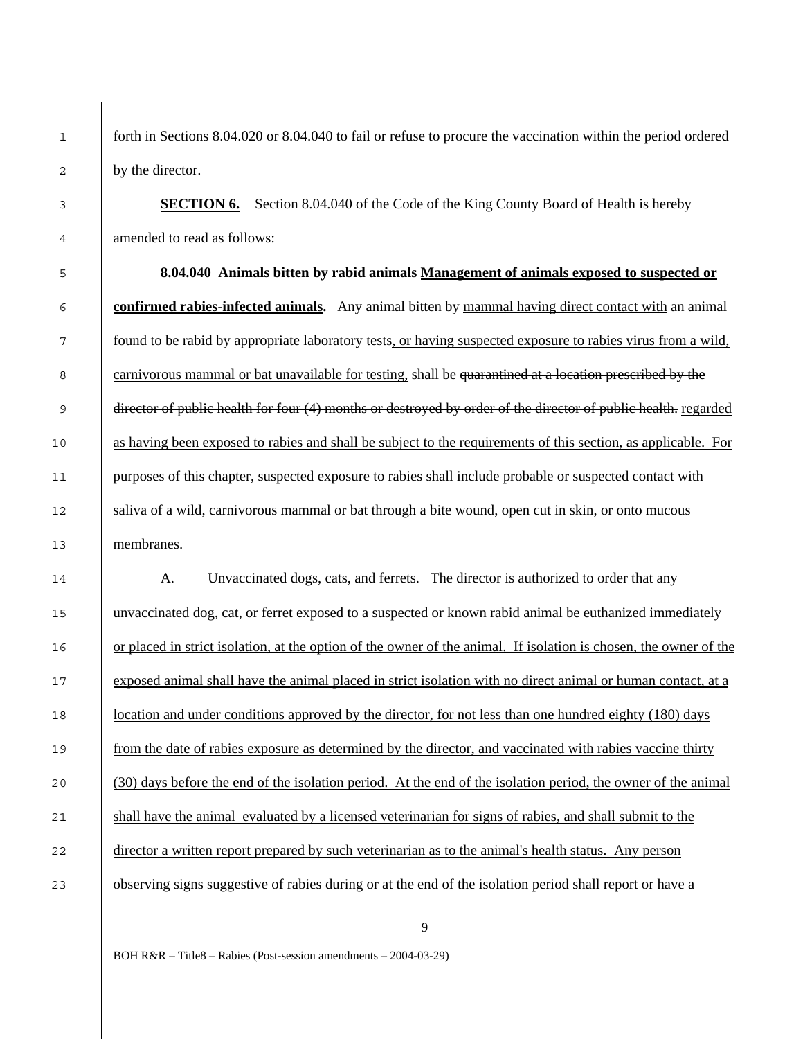1 forth in Sections 8.04.020 or 8.04.040 to fail or refuse to procure the vaccination within the period ordered 2 by the director.

**SECTION 6.** Section 8.04.040 of the Code of the King County Board of Health is hereby amended to read as follows:

3

4

6

5 **8.04.040 Animals bitten by rabid animals Management of animals exposed to suspected or confirmed rabies-infected animals.** Any animal bitten by mammal having direct contact with an animal <sup>7</sup> found to be rabid by appropriate laboratory tests, or having suspected exposure to rabies virus from a wild, 8 carnivorous mammal or bat unavailable for testing, shall be quarantined at a location prescribed by the 9 director of public health for four (4) months or destroyed by order of the director of public health. regarded 10 as having been exposed to rabies and shall be subject to the requirements of this section, as applicable. For 11 purposes of this chapter, suspected exposure to rabies shall include probable or suspected contact with 12 saliva of a wild, carnivorous mammal or bat through a bite wound, open cut in skin, or onto mucous 13 membranes.

14 A. Unvaccinated dogs, cats, and ferrets. The director is authorized to order that any 15 unvaccinated dog, cat, or ferret exposed to a suspected or known rabid animal be euthanized immediately 16 or placed in strict isolation, at the option of the owner of the animal. If isolation is chosen, the owner of the 17 exposed animal shall have the animal placed in strict isolation with no direct animal or human contact, at a 18 **location and under conditions approved by the director, for not less than one hundred eighty (180) days** 19 from the date of rabies exposure as determined by the director, and vaccinated with rabies vaccine thirty 20 (30) days before the end of the isolation period. At the end of the isolation period, the owner of the animal 21 shall have the animal evaluated by a licensed veterinarian for signs of rabies, and shall submit to the 22 director a written report prepared by such veterinarian as to the animal's health status. Any person 23 observing signs suggestive of rabies during or at the end of the isolation period shall report or have a

9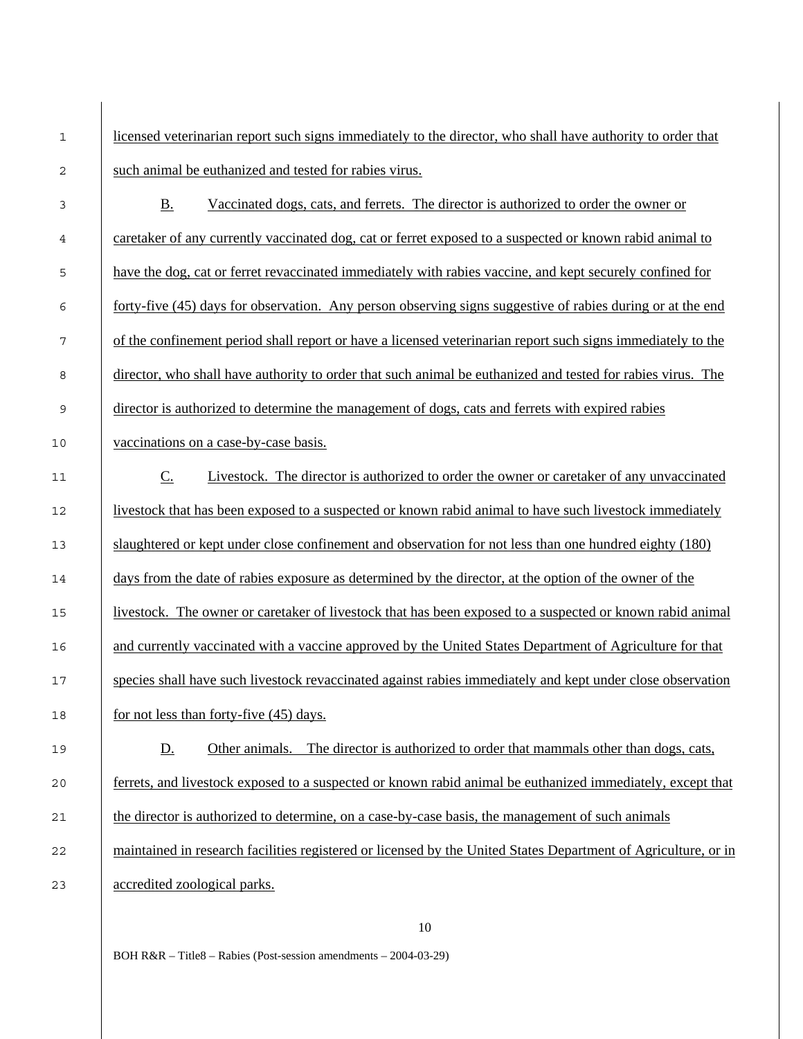| $1\,$ | licensed veterinarian report such signs immediately to the director, who shall have authority to order that    |
|-------|----------------------------------------------------------------------------------------------------------------|
| 2     | such animal be euthanized and tested for rabies virus.                                                         |
| 3     | <b>B.</b><br>Vaccinated dogs, cats, and ferrets. The director is authorized to order the owner or              |
| 4     | caretaker of any currently vaccinated dog, cat or ferret exposed to a suspected or known rabid animal to       |
| 5     | have the dog, cat or ferret revaccinated immediately with rabies vaccine, and kept securely confined for       |
| 6     | forty-five (45) days for observation. Any person observing signs suggestive of rabies during or at the end     |
| 7     | of the confinement period shall report or have a licensed veterinarian report such signs immediately to the    |
| 8     | director, who shall have authority to order that such animal be euthanized and tested for rabies virus. The    |
| 9     | director is authorized to determine the management of dogs, cats and ferrets with expired rabies               |
| 10    | vaccinations on a case-by-case basis.                                                                          |
| 11    | $C_{\cdot}$<br>Livestock. The director is authorized to order the owner or caretaker of any unvaccinated       |
| 12    | livestock that has been exposed to a suspected or known rabid animal to have such livestock immediately        |
| 13    | slaughtered or kept under close confinement and observation for not less than one hundred eighty (180)         |
| 14    | days from the date of rabies exposure as determined by the director, at the option of the owner of the         |
| 15    | livestock. The owner or caretaker of livestock that has been exposed to a suspected or known rabid animal      |
| 16    | and currently vaccinated with a vaccine approved by the United States Department of Agriculture for that       |
| 17    | species shall have such livestock revaccinated against rabies immediately and kept under close observation     |
| 18    | for not less than forty-five (45) days.                                                                        |
| 19    | The director is authorized to order that mammals other than dogs, cats,<br><u>D.</u><br>Other animals.         |
| 20    | ferrets, and livestock exposed to a suspected or known rabid animal be euthanized immediately, except that     |
| 21    | the director is authorized to determine, on a case-by-case basis, the management of such animals               |
| 22    | maintained in research facilities registered or licensed by the United States Department of Agriculture, or in |
| 23    | accredited zoological parks.                                                                                   |
|       |                                                                                                                |